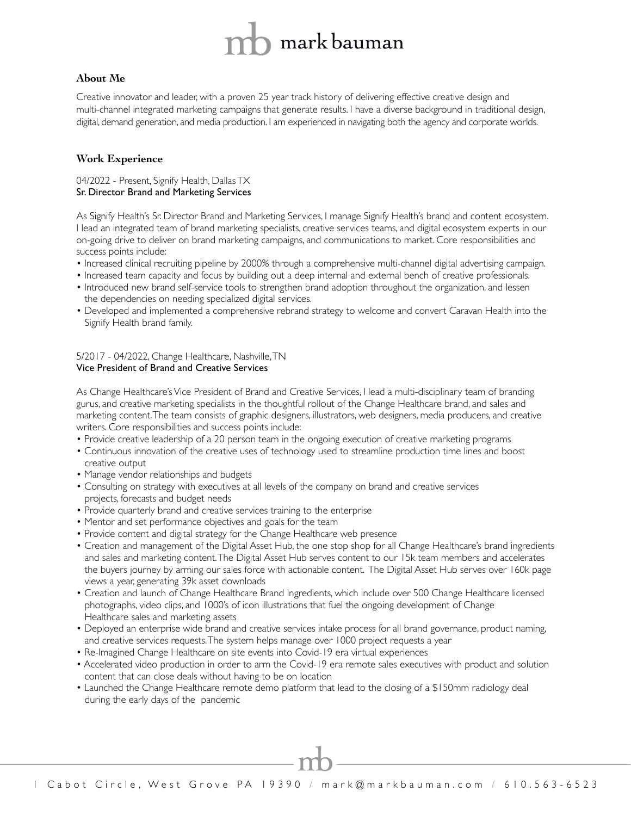# mark bauman

# **About Me**

Creative innovator and leader, with a proven 25 year track history of delivering effective creative design and multi-channel integrated marketing campaigns that generate results. I have a diverse background in traditional design, digital, demand generation, and media production. I am experienced in navigating both the agency and corporate worlds.

# **Work Experience**

04/2022 - Present, Signify Health, Dallas TX Sr. Director Brand and Marketing Services

As Signify Health's Sr. Director Brand and Marketing Services, I manage Signify Health's brand and content ecosystem. I lead an integrated team of brand marketing specialists, creative services teams, and digital ecosystem experts in our on-going drive to deliver on brand marketing campaigns, and communications to market. Core responsibilities and success points include:

- Increased clinical recruiting pipeline by 2000% through a comprehensive multi-channel digital advertising campaign.
- Increased team capacity and focus by building out a deep internal and external bench of creative professionals.
- Introduced new brand self-service tools to strengthen brand adoption throughout the organization, and lessen the dependencies on needing specialized digital services.
- Developed and implemented a comprehensive rebrand strategy to welcome and convert Caravan Health into the Signify Health brand family.

## 5/2017 - 04/2022, Change Healthcare, Nashville, TN Vice President of Brand and Creative Services

As Change Healthcare's Vice President of Brand and Creative Services, I lead a multi-disciplinary team of branding gurus, and creative marketing specialists in the thoughtful rollout of the Change Healthcare brand, and sales and marketing content. The team consists of graphic designers, illustrators, web designers, media producers, and creative writers. Core responsibilities and success points include:

- Provide creative leadership of a 20 person team in the ongoing execution of creative marketing programs
- Continuous innovation of the creative uses of technology used to streamline production time lines and boost creative output
- Manage vendor relationships and budgets
- Consulting on strategy with executives at all levels of the company on brand and creative services projects, forecasts and budget needs
- Provide quarterly brand and creative services training to the enterprise
- Mentor and set performance objectives and goals for the team
- Provide content and digital strategy for the Change Healthcare web presence
- Creation and management of the Digital Asset Hub, the one stop shop for all Change Healthcare's brand ingredients and sales and marketing content. The Digital Asset Hub serves content to our 15k team members and accelerates the buyers journey by arming our sales force with actionable content. The Digital Asset Hub serves over 160k page views a year, generating 39k asset downloads
- Creation and launch of Change Healthcare Brand Ingredients, which include over 500 Change Healthcare licensed photographs, video clips, and 1000's of icon illustrations that fuel the ongoing development of Change Healthcare sales and marketing assets
- Deployed an enterprise wide brand and creative services intake process for all brand governance, product naming, and creative services requests. The system helps manage over 1000 project requests a year
- Re-Imagined Change Healthcare on site events into Covid-19 era virtual experiences
- Accelerated video production in order to arm the Covid-19 era remote sales executives with product and solution content that can close deals without having to be on location
- Launched the Change Healthcare remote demo platform that lead to the closing of a \$150mm radiology deal during the early days of the pandemic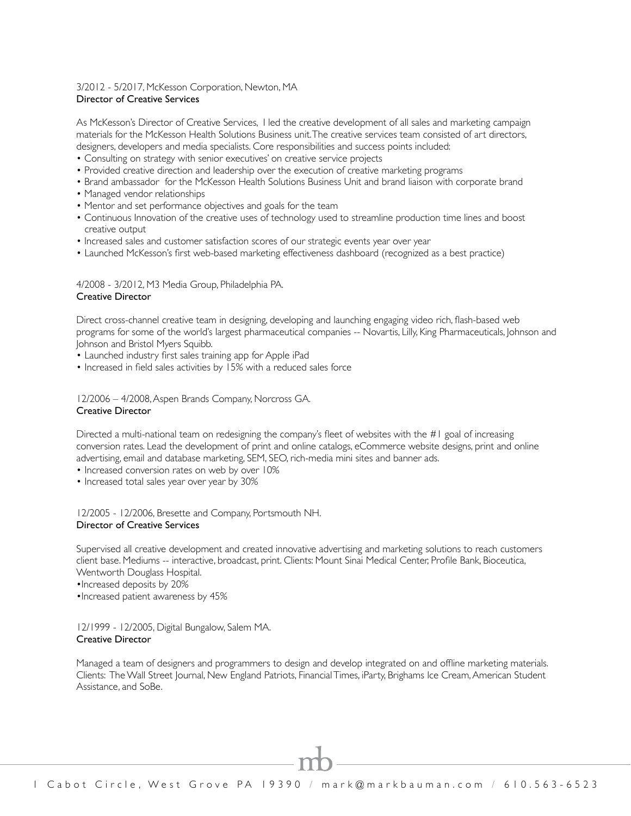# 3/2012 - 5/2017, McKesson Corporation, Newton, MA Director of Creative Services

As McKesson's Director of Creative Services, I led the creative development of all sales and marketing campaign materials for the McKesson Health Solutions Business unit. The creative services team consisted of art directors, designers, developers and media specialists. Core responsibilities and success points included:

- Consulting on strategy with senior executives' on creative service projects
- Provided creative direction and leadership over the execution of creative marketing programs
- Brand ambassador for the McKesson Health Solutions Business Unit and brand liaison with corporate brand
- Managed vendor relationships
- Mentor and set performance objectives and goals for the team
- Continuous Innovation of the creative uses of technology used to streamline production time lines and boost creative output
- Increased sales and customer satisfaction scores of our strategic events year over year
- Launched McKesson's first web-based marketing effectiveness dashboard (recognized as a best practice)

#### 4/2008 - 3/2012, M3 Media Group, Philadelphia PA. Creative Director

Direct cross-channel creative team in designing, developing and launching engaging video rich, flash-based web programs for some of the world's largest pharmaceutical companies -- Novartis, Lilly, King Pharmaceuticals, Johnson and Johnson and Bristol Myers Squibb.

- Launched industry first sales training app for Apple iPad
- Increased in field sales activities by 15% with a reduced sales force

#### 12/2006 – 4/2008, Aspen Brands Company, Norcross GA. Creative Director

Directed a multi-national team on redesigning the company's fleet of websites with the #1 goal of increasing conversion rates. Lead the development of print and online catalogs, eCommerce website designs, print and online advertising, email and database marketing, SEM, SEO, rich-media mini sites and banner ads.

- Increased conversion rates on web by over 10%
- Increased total sales year over year by 30%

12/2005 - 12/2006, Bresette and Company, Portsmouth NH. Director of Creative Services

Supervised all creative development and created innovative advertising and marketing solutions to reach customers client base. Mediums -- interactive, broadcast, print. Clients: Mount Sinai Medical Center, Profile Bank, Bioceutica, Wentworth Douglass Hospital.

•Increased deposits by 20%

•Increased patient awareness by 45%

12/1999 - 12/2005, Digital Bungalow, Salem MA. Creative Director

Managed a team of designers and programmers to design and develop integrated on and offline marketing materials. Clients: The Wall Street Journal, New England Patriots, Financial Times, iParty, Brighams Ice Cream, American Student Assistance, and SoBe.